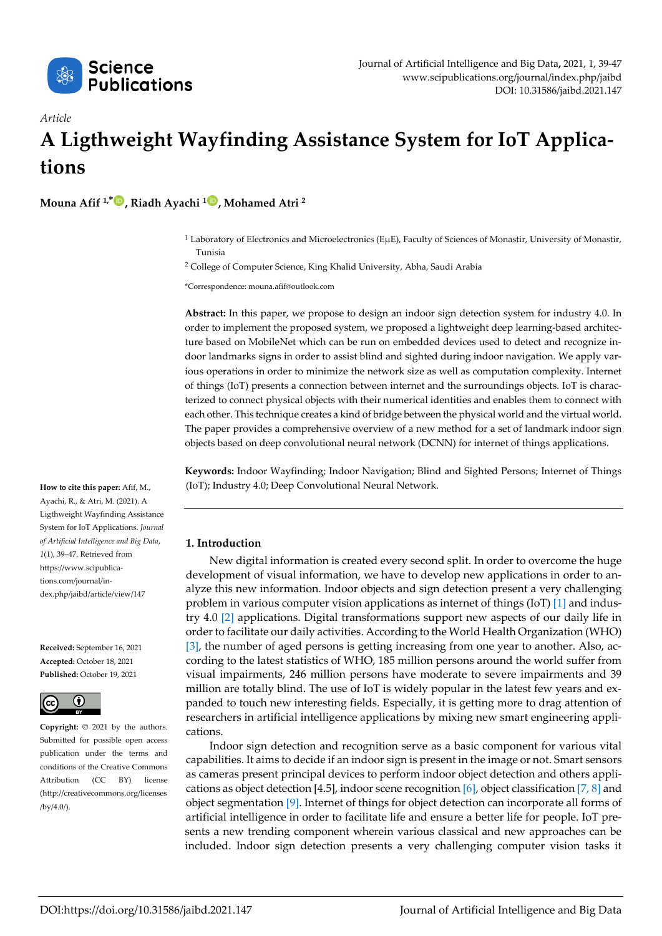

# *Article* **A Ligthweight Wayfinding Assistance System for IoT Applications**

<span id="page-0-0"></span>**Mouna Afif 1,\* , Riadh Ayachi <sup>1</sup> , Mohamed Atri <sup>2</sup>**

<span id="page-0-1"></span> $1$  Laboratory of Electronics and Microelectronics (EµE), Faculty of Sciences of Monastir, University of Monastir, Tunisia

<sup>2</sup> College of Computer Science, King Khalid University, Abha, Saudi Arabia

\*Correspondence: mouna.afif@outlook.com

**Abstract:** In this paper, we propose to design an indoor sign detection system for industry 4.0. In order to implement the proposed system, we proposed a lightweight deep learning-based architecture based on MobileNet which can be run on embedded devices used to detect and recognize indoor landmarks signs in order to assist blind and sighted during indoor navigation. We apply various operations in order to minimize the network size as well as computation complexity. Internet of things (IoT) presents a connection between internet and the surroundings objects. IoT is characterized to connect physical objects with their numerical identities and enables them to connect with each other. This technique creates a kind of bridge between the physical world and the virtual world. The paper provides a comprehensive overview of a new method for a set of landmark indoor sign objects based on deep convolutional neural network (DCNN) for internet of things applications.

**Keywords:** Indoor Wayfinding; Indoor Navigation; Blind and Sighted Persons; Internet of Things (IoT); Industry 4.0; Deep Convolutional Neural Network.

# **1. Introduction**

New digital information is created every second split. In order to overcome the huge development of visual information, we have to develop new applications in order to analyze this new information. Indoor objects and sign detection present a very challenging problem in various computer vision applications as internet of things (IoT) [1] and industry 4.0 [2] applications. Digital transformations support new aspects of our daily life in order to facilitate our daily activities. According to the World Health Organization (WHO) [3], the number of aged persons is getting increasing from one year to another. Also, according to the latest statistics of WHO, 185 million persons around the world suffer from visual impairments, 246 million persons have moderate to severe impairments and 39 million are totally blind. The use of IoT is widely popular in the latest few years and expanded to touch new interesting fields. Especially, it is getting more to drag attention of researchers in artificial intelligence applications by mixing new smart engineering applications.

Indoor sign detection and recognition serve as a basic component for various vital capabilities. It aims to decide if an indoor sign is present in the image or not. Smart sensors as cameras present principal devices to perform indoor object detection and others applications as object detection [4.5], indoor scene recognition [6], object classification [7, 8] and object segmentation [9]. Internet of things for object detection can incorporate all forms of artificial intelligence in order to facilitate life and ensure a better life for people. IoT presents a new trending component wherein various classical and new approaches can be included. Indoor sign detection presents a very challenging computer vision tasks it

**How to cite this paper:** Afif, M., Ayachi, R., & Atri, M. (2021). A Ligthweight Wayfinding Assistance System for IoT Applications. *Journal of Artificial Intelligence and Big Data*, *1*(1), 39–47. Retrieved from https://www.scipublications.com/journal/index.php/jaibd/article/view/147

**Received:** September 16, 2021 **Accepted:** October 18, 2021 **Published:** October 19, 2021



**Copyright:** © 2021 by the authors. Submitted for possible open access publication under the terms and conditions of the Creative Commons Attribution (CC BY) license (http://creativecommons.org/licenses /by/4.0/).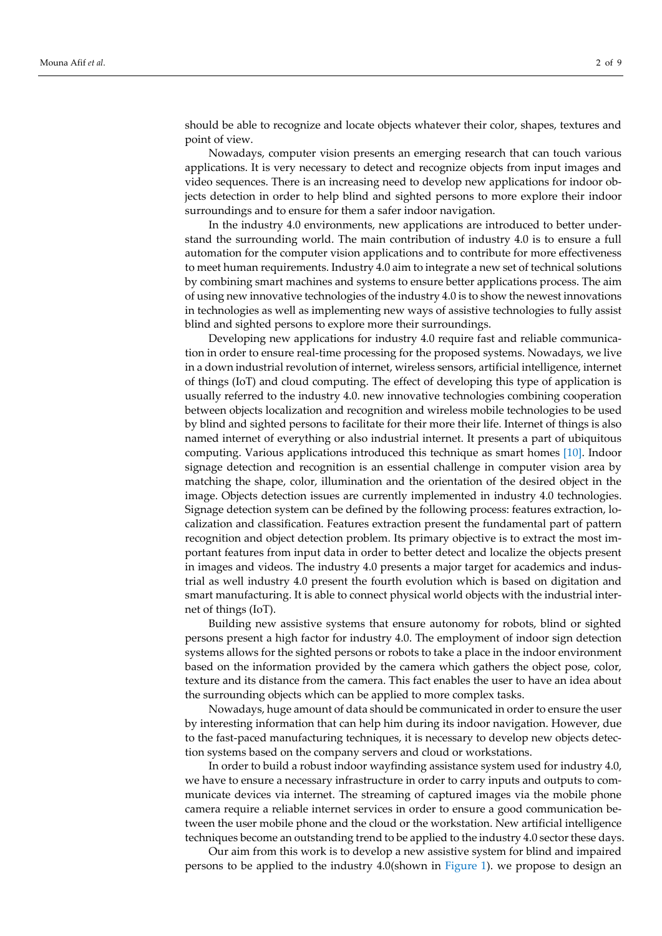should be able to recognize and locate objects whatever their color, shapes, textures and point of view.

Nowadays, computer vision presents an emerging research that can touch various applications. It is very necessary to detect and recognize objects from input images and video sequences. There is an increasing need to develop new applications for indoor objects detection in order to help blind and sighted persons to more explore their indoor surroundings and to ensure for them a safer indoor navigation.

In the industry 4.0 environments, new applications are introduced to better understand the surrounding world. The main contribution of industry 4.0 is to ensure a full automation for the computer vision applications and to contribute for more effectiveness to meet human requirements. Industry 4.0 aim to integrate a new set of technical solutions by combining smart machines and systems to ensure better applications process. The aim of using new innovative technologies of the industry 4.0 is to show the newest innovations in technologies as well as implementing new ways of assistive technologies to fully assist blind and sighted persons to explore more their surroundings.

Developing new applications for industry 4.0 require fast and reliable communication in order to ensure real-time processing for the proposed systems. Nowadays, we live in a down industrial revolution of internet, wireless sensors, artificial intelligence, internet of things (IoT) and cloud computing. The effect of developing this type of application is usually referred to the industry 4.0. new innovative technologies combining cooperation between objects localization and recognition and wireless mobile technologies to be used by blind and sighted persons to facilitate for their more their life. Internet of things is also named internet of everything or also industrial internet. It presents a part of ubiquitous computing. Various applications introduced this technique as smart homes [10]. Indoor signage detection and recognition is an essential challenge in computer vision area by matching the shape, color, illumination and the orientation of the desired object in the image. Objects detection issues are currently implemented in industry 4.0 technologies. Signage detection system can be defined by the following process: features extraction, localization and classification. Features extraction present the fundamental part of pattern recognition and object detection problem. Its primary objective is to extract the most important features from input data in order to better detect and localize the objects present in images and videos. The industry 4.0 presents a major target for academics and industrial as well industry 4.0 present the fourth evolution which is based on digitation and smart manufacturing. It is able to connect physical world objects with the industrial internet of things (IoT).

Building new assistive systems that ensure autonomy for robots, blind or sighted persons present a high factor for industry 4.0. The employment of indoor sign detection systems allows for the sighted persons or robots to take a place in the indoor environment based on the information provided by the camera which gathers the object pose, color, texture and its distance from the camera. This fact enables the user to have an idea about the surrounding objects which can be applied to more complex tasks.

Nowadays, huge amount of data should be communicated in order to ensure the user by interesting information that can help him during its indoor navigation. However, due to the fast-paced manufacturing techniques, it is necessary to develop new objects detection systems based on the company servers and cloud or workstations.

In order to build a robust indoor wayfinding assistance system used for industry 4.0, we have to ensure a necessary infrastructure in order to carry inputs and outputs to communicate devices via internet. The streaming of captured images via the mobile phone camera require a reliable internet services in order to ensure a good communication between the user mobile phone and the cloud or the workstation. New artificial intelligence techniques become an outstanding trend to be applied to the industry 4.0 sector these days.

Our aim from this work is to develop a new assistive system for blind and impaired persons to be applied to the industry 4.0(shown in [Figure 1\)](#page-0-0). we propose to design an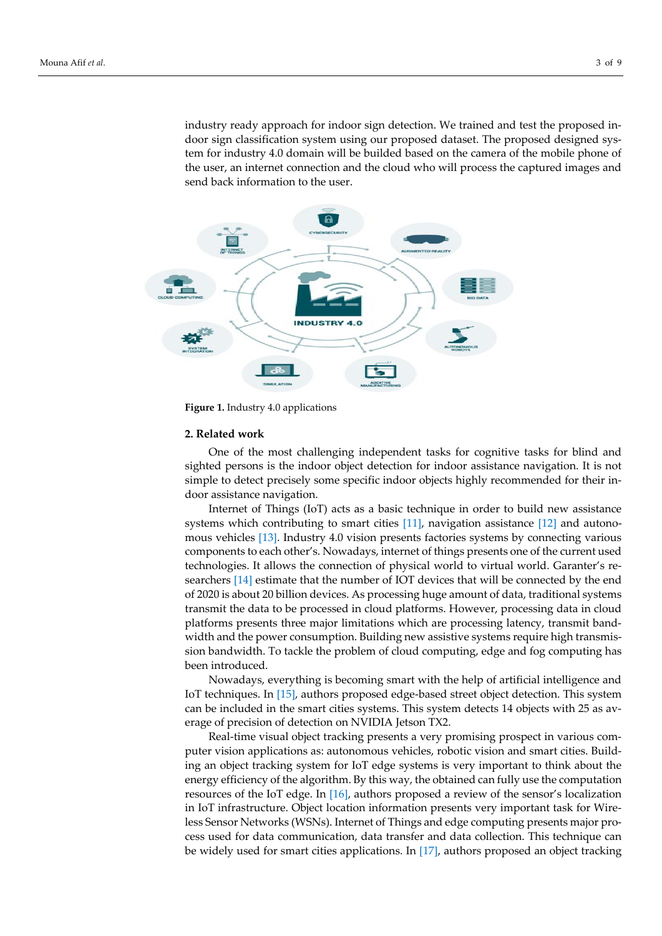industry ready approach for indoor sign detection. We trained and test the proposed indoor sign classification system using our proposed dataset. The proposed designed system for industry 4.0 domain will be builded based on the camera of the mobile phone of the user, an internet connection and the cloud who will process the captured images and send back information to the user.



**Figure 1.** Industry 4.0 applications

# **2. Related work**

One of the most challenging independent tasks for cognitive tasks for blind and sighted persons is the indoor object detection for indoor assistance navigation. It is not simple to detect precisely some specific indoor objects highly recommended for their indoor assistance navigation.

Internet of Things (IoT) acts as a basic technique in order to build new assistance systems which contributing to smart cities [11], navigation assistance [12] and autonomous vehicles [13]. Industry 4.0 vision presents factories systems by connecting various components to each other's. Nowadays, internet of things presents one of the current used technologies. It allows the connection of physical world to virtual world. Garanter's researchers [14] estimate that the number of IOT devices that will be connected by the end of 2020 is about 20 billion devices. As processing huge amount of data, traditional systems transmit the data to be processed in cloud platforms. However, processing data in cloud platforms presents three major limitations which are processing latency, transmit bandwidth and the power consumption. Building new assistive systems require high transmission bandwidth. To tackle the problem of cloud computing, edge and fog computing has been introduced.

Nowadays, everything is becoming smart with the help of artificial intelligence and IoT techniques. In [15], authors proposed edge-based street object detection. This system can be included in the smart cities systems. This system detects 14 objects with 25 as average of precision of detection on NVIDIA Jetson TX2.

Real-time visual object tracking presents a very promising prospect in various computer vision applications as: autonomous vehicles, robotic vision and smart cities. Building an object tracking system for IoT edge systems is very important to think about the energy efficiency of the algorithm. By this way, the obtained can fully use the computation resources of the IoT edge. In [16], authors proposed a review of the sensor's localization in IoT infrastructure. Object location information presents very important task for Wireless Sensor Networks (WSNs). Internet of Things and edge computing presents major process used for data communication, data transfer and data collection. This technique can be widely used for smart cities applications. In [17], authors proposed an object tracking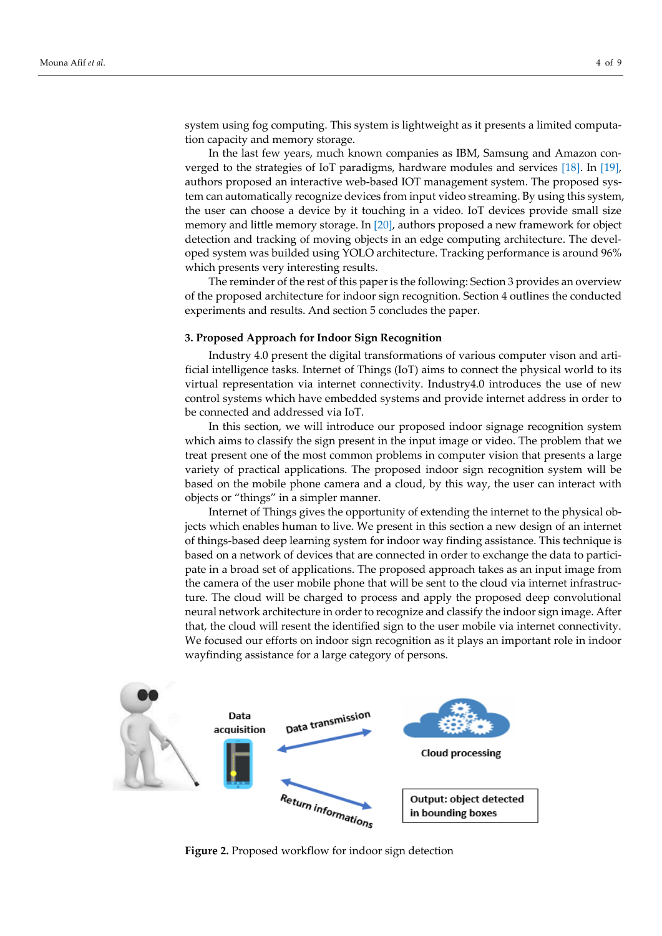system using fog computing. This system is lightweight as it presents a limited computation capacity and memory storage.

In the last few years, much known companies as IBM, Samsung and Amazon converged to the strategies of IoT paradigms, hardware modules and services [18]. In [19], authors proposed an interactive web-based IOT management system. The proposed system can automatically recognize devices from input video streaming. By using this system, the user can choose a device by it touching in a video. IoT devices provide small size memory and little memory storage. In [20], authors proposed a new framework for object detection and tracking of moving objects in an edge computing architecture. The developed system was builded using YOLO architecture. Tracking performance is around 96% which presents very interesting results.

The reminder of the rest of this paper is the following: Section 3 provides an overview of the proposed architecture for indoor sign recognition. Section 4 outlines the conducted experiments and results. And section 5 concludes the paper.

#### **3. Proposed Approach for Indoor Sign Recognition**

Industry 4.0 present the digital transformations of various computer vison and artificial intelligence tasks. Internet of Things (IoT) aims to connect the physical world to its virtual representation via internet connectivity. Industry4.0 introduces the use of new control systems which have embedded systems and provide internet address in order to be connected and addressed via IoT.

In this section, we will introduce our proposed indoor signage recognition system which aims to classify the sign present in the input image or video. The problem that we treat present one of the most common problems in computer vision that presents a large variety of practical applications. The proposed indoor sign recognition system will be based on the mobile phone camera and a cloud, by this way, the user can interact with objects or "things" in a simpler manner.

Internet of Things gives the opportunity of extending the internet to the physical objects which enables human to live. We present in this section a new design of an internet of things-based deep learning system for indoor way finding assistance. This technique is based on a network of devices that are connected in order to exchange the data to participate in a broad set of applications. The proposed approach takes as an input image from the camera of the user mobile phone that will be sent to the cloud via internet infrastructure. The cloud will be charged to process and apply the proposed deep convolutional neural network architecture in order to recognize and classify the indoor sign image. After that, the cloud will resent the identified sign to the user mobile via internet connectivity. We focused our efforts on indoor sign recognition as it plays an important role in indoor wayfinding assistance for a large category of persons.



**Figure 2.** Proposed workflow for indoor sign detection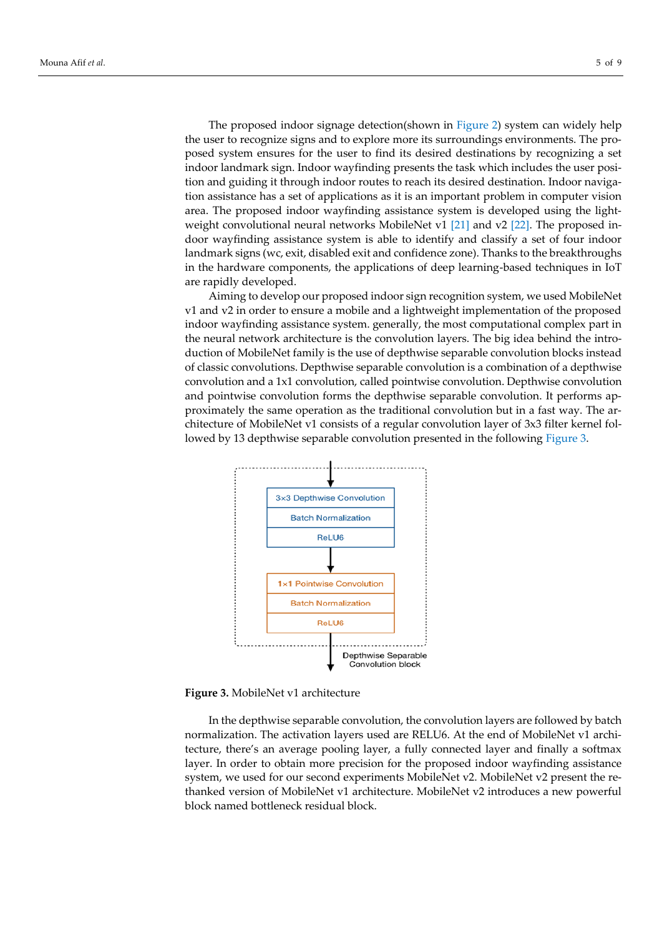The proposed indoor signage detection(shown in [Figure 2\)](#page-0-1) system can widely help the user to recognize signs and to explore more its surroundings environments. The proposed system ensures for the user to find its desired destinations by recognizing a set indoor landmark sign. Indoor wayfinding presents the task which includes the user position and guiding it through indoor routes to reach its desired destination. Indoor navigation assistance has a set of applications as it is an important problem in computer vision area. The proposed indoor wayfinding assistance system is developed using the lightweight convolutional neural networks MobileNet v1 [21] and v2 [22]. The proposed indoor wayfinding assistance system is able to identify and classify a set of four indoor landmark signs (wc, exit, disabled exit and confidence zone). Thanks to the breakthroughs in the hardware components, the applications of deep learning-based techniques in IoT are rapidly developed.

Aiming to develop our proposed indoor sign recognition system, we used MobileNet v1 and v2 in order to ensure a mobile and a lightweight implementation of the proposed indoor wayfinding assistance system. generally, the most computational complex part in the neural network architecture is the convolution layers. The big idea behind the introduction of MobileNet family is the use of depthwise separable convolution blocks instead of classic convolutions. Depthwise separable convolution is a combination of a depthwise convolution and a 1x1 convolution, called pointwise convolution. Depthwise convolution and pointwise convolution forms the depthwise separable convolution. It performs approximately the same operation as the traditional convolution but in a fast way. The architecture of MobileNet v1 consists of a regular convolution layer of 3x3 filter kernel followed by 13 depthwise separable convolution presented in the following Figure 3.



**Figure 3.** MobileNet v1 architecture

In the depthwise separable convolution, the convolution layers are followed by batch normalization. The activation layers used are RELU6. At the end of MobileNet v1 architecture, there's an average pooling layer, a fully connected layer and finally a softmax layer. In order to obtain more precision for the proposed indoor wayfinding assistance system, we used for our second experiments MobileNet v2. MobileNet v2 present the rethanked version of MobileNet v1 architecture. MobileNet v2 introduces a new powerful block named bottleneck residual block.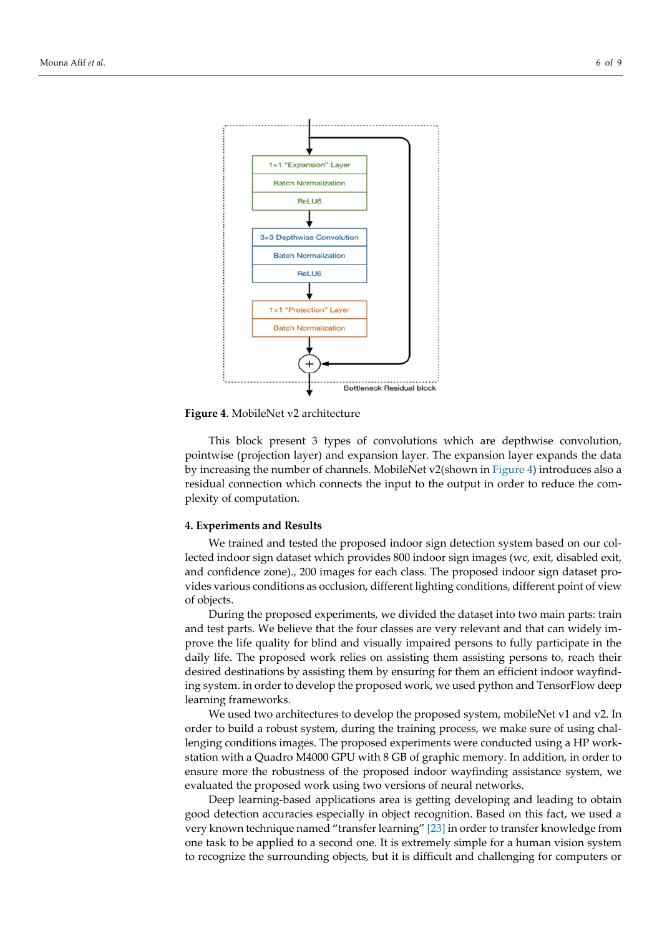



**Figure 4**. MobileNet v2 architecture

This block present 3 types of convolutions which are depthwise convolution, pointwise (projection layer) and expansion layer. The expansion layer expands the data by increasing the number of channels. MobileNet v2(shown in Figure 4) introduces also a residual connection which connects the input to the output in order to reduce the complexity of computation.

#### **4. Experiments and Results**

We trained and tested the proposed indoor sign detection system based on our collected indoor sign dataset which provides 800 indoor sign images (wc, exit, disabled exit, and confidence zone)., 200 images for each class. The proposed indoor sign dataset provides various conditions as occlusion, different lighting conditions, different point of view of objects.

During the proposed experiments, we divided the dataset into two main parts: train and test parts. We believe that the four classes are very relevant and that can widely improve the life quality for blind and visually impaired persons to fully participate in the daily life. The proposed work relies on assisting them assisting persons to, reach their desired destinations by assisting them by ensuring for them an efficient indoor wayfinding system. in order to develop the proposed work, we used python and TensorFlow deep learning frameworks.

We used two architectures to develop the proposed system, mobileNet v1 and v2. In order to build a robust system, during the training process, we make sure of using challenging conditions images. The proposed experiments were conducted using a HP workstation with a Quadro M4000 GPU with 8 GB of graphic memory. In addition, in order to ensure more the robustness of the proposed indoor wayfinding assistance system, we evaluated the proposed work using two versions of neural networks.

Deep learning-based applications area is getting developing and leading to obtain good detection accuracies especially in object recognition. Based on this fact, we used a very known technique named "transfer learning" [23] in order to transfer knowledge from one task to be applied to a second one. It is extremely simple for a human vision system to recognize the surrounding objects, but it is difficult and challenging for computers or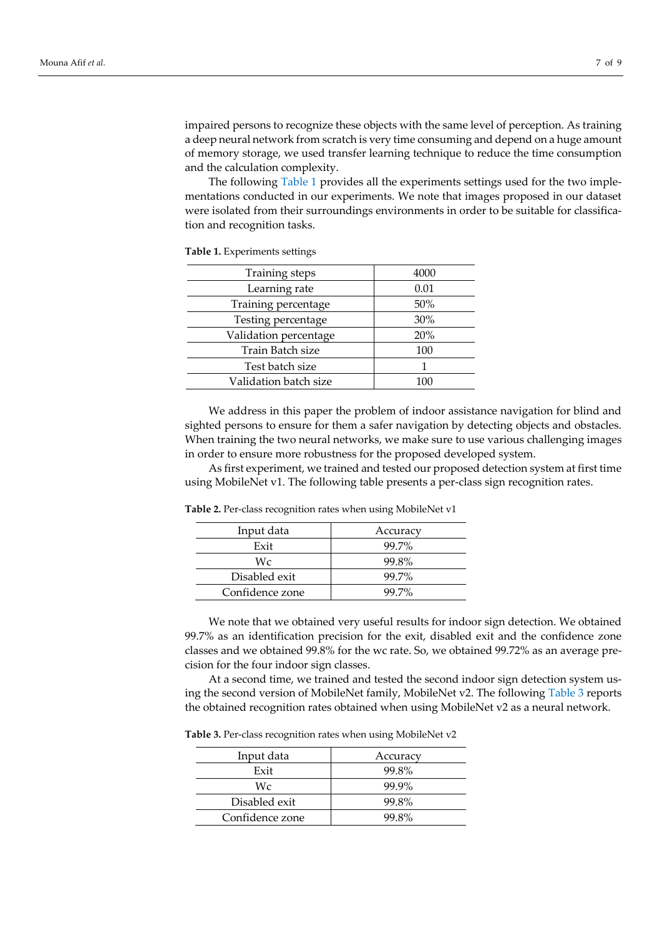impaired persons to recognize these objects with the same level of perception. As training a deep neural network from scratch is very time consuming and depend on a huge amount of memory storage, we used transfer learning technique to reduce the time consumption and the calculation complexity.

The following Table 1 provides all the experiments settings used for the two implementations conducted in our experiments. We note that images proposed in our dataset were isolated from their surroundings environments in order to be suitable for classification and recognition tasks.

| Training steps        | 4000 |
|-----------------------|------|
| Learning rate         | 0.01 |
| Training percentage   | 50%  |
| Testing percentage    | 30%  |
| Validation percentage | 20%  |
| Train Batch size      | 100  |
| Test batch size       |      |
| Validation batch size | 100  |

**Table 1.** Experiments settings

We address in this paper the problem of indoor assistance navigation for blind and sighted persons to ensure for them a safer navigation by detecting objects and obstacles. When training the two neural networks, we make sure to use various challenging images in order to ensure more robustness for the proposed developed system.

As first experiment, we trained and tested our proposed detection system at first time using MobileNet v1. The following table presents a per-class sign recognition rates.

| Input data      | Accuracy |
|-----------------|----------|
| Exit            | 99.7%    |
| Wc              | 99.8%    |
| Disabled exit   | 99.7%    |
| Confidence zone | 99.7%    |

**Table 2.** Per-class recognition rates when using MobileNet v1

We note that we obtained very useful results for indoor sign detection. We obtained 99.7% as an identification precision for the exit, disabled exit and the confidence zone classes and we obtained 99.8% for the wc rate. So, we obtained 99.72% as an average precision for the four indoor sign classes.

At a second time, we trained and tested the second indoor sign detection system using the second version of MobileNet family, MobileNet v2. The following Table 3 reports the obtained recognition rates obtained when using MobileNet v2 as a neural network.

**Table 3.** Per-class recognition rates when using MobileNet v2

| Input data      | Accuracy |
|-----------------|----------|
| Exit            | 99.8%    |
| Wc              | 99.9%    |
| Disabled exit   | 99.8%    |
| Confidence zone | 99.8%    |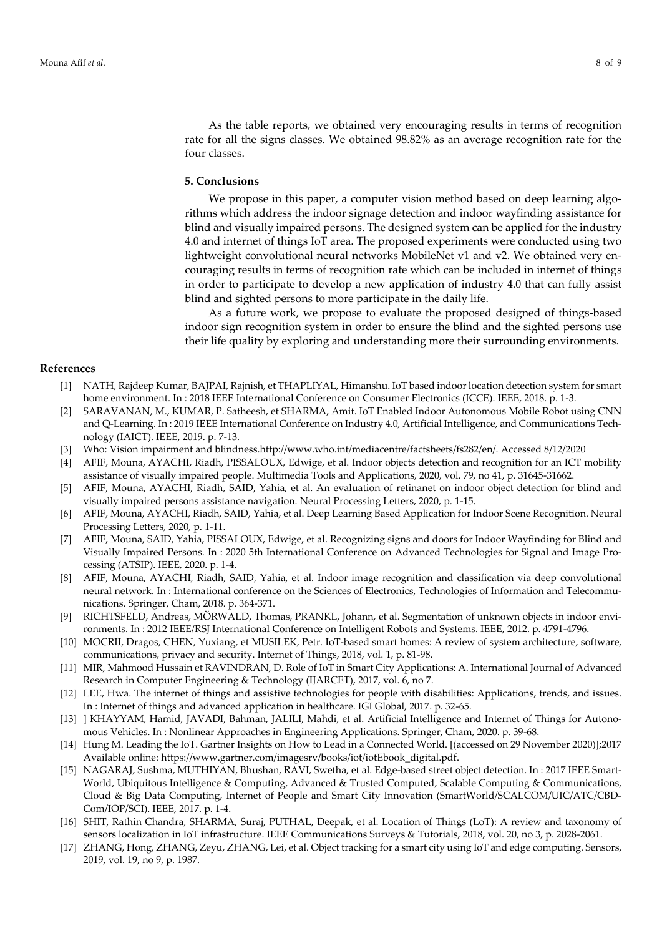As the table reports, we obtained very encouraging results in terms of recognition rate for all the signs classes. We obtained 98.82% as an average recognition rate for the four classes.

### **5. Conclusions**

We propose in this paper, a computer vision method based on deep learning algorithms which address the indoor signage detection and indoor wayfinding assistance for blind and visually impaired persons. The designed system can be applied for the industry 4.0 and internet of things IoT area. The proposed experiments were conducted using two lightweight convolutional neural networks MobileNet v1 and v2. We obtained very encouraging results in terms of recognition rate which can be included in internet of things in order to participate to develop a new application of industry 4.0 that can fully assist blind and sighted persons to more participate in the daily life.

As a future work, we propose to evaluate the proposed designed of things-based indoor sign recognition system in order to ensure the blind and the sighted persons use their life quality by exploring and understanding more their surrounding environments.

# **References**

- [1] NATH, Rajdeep Kumar, BAJPAI, Rajnish, et THAPLIYAL, Himanshu. IoT based indoor location detection system for smart home environment. In : 2018 IEEE International Conference on Consumer Electronics (ICCE). IEEE, 2018. p. 1-3.
- [2] SARAVANAN, M., KUMAR, P. Satheesh, et SHARMA, Amit. IoT Enabled Indoor Autonomous Mobile Robot using CNN and Q-Learning. In : 2019 IEEE International Conference on Industry 4.0, Artificial Intelligence, and Communications Technology (IAICT). IEEE, 2019. p. 7-13.
- [3] Who: Vision impairment and blindness.http://www.who.int/mediacentre/factsheets/fs282/en/. Accessed 8/12/2020
- [4] AFIF, Mouna, AYACHI, Riadh, PISSALOUX, Edwige, et al. Indoor objects detection and recognition for an ICT mobility assistance of visually impaired people. Multimedia Tools and Applications, 2020, vol. 79, no 41, p. 31645-31662.
- [5] AFIF, Mouna, AYACHI, Riadh, SAID, Yahia, et al. An evaluation of retinanet on indoor object detection for blind and visually impaired persons assistance navigation. Neural Processing Letters, 2020, p. 1-15.
- [6] AFIF, Mouna, AYACHI, Riadh, SAID, Yahia, et al. Deep Learning Based Application for Indoor Scene Recognition. Neural Processing Letters, 2020, p. 1-11.
- [7] AFIF, Mouna, SAID, Yahia, PISSALOUX, Edwige, et al. Recognizing signs and doors for Indoor Wayfinding for Blind and Visually Impaired Persons. In : 2020 5th International Conference on Advanced Technologies for Signal and Image Processing (ATSIP). IEEE, 2020. p. 1-4.
- [8] AFIF, Mouna, AYACHI, Riadh, SAID, Yahia, et al. Indoor image recognition and classification via deep convolutional neural network. In : International conference on the Sciences of Electronics, Technologies of Information and Telecommunications. Springer, Cham, 2018. p. 364-371.
- [9] RICHTSFELD, Andreas, MORWALD, Thomas, PRANKL, Johann, et al. Segmentation of unknown objects in indoor environments. In : 2012 IEEE/RSJ International Conference on Intelligent Robots and Systems. IEEE, 2012. p. 4791-4796.
- [10] MOCRII, Dragos, CHEN, Yuxiang, et MUSILEK, Petr. IoT-based smart homes: A review of system architecture, software, communications, privacy and security. Internet of Things, 2018, vol. 1, p. 81-98.
- [11] MIR, Mahmood Hussain et RAVINDRAN, D. Role of IoT in Smart City Applications: A. International Journal of Advanced Research in Computer Engineering & Technology (IJARCET), 2017, vol. 6, no 7.
- [12] LEE, Hwa. The internet of things and assistive technologies for people with disabilities: Applications, trends, and issues. In : Internet of things and advanced application in healthcare. IGI Global, 2017. p. 32-65.
- [13] ] KHAYYAM, Hamid, JAVADI, Bahman, JALILI, Mahdi, et al. Artificial Intelligence and Internet of Things for Autonomous Vehicles. In : Nonlinear Approaches in Engineering Applications. Springer, Cham, 2020. p. 39-68.
- [14] Hung M. Leading the IoT. Gartner Insights on How to Lead in a Connected World. [(accessed on 29 November 2020)];2017 Available online: https://www.gartner.com/imagesrv/books/iot/iotEbook\_digital.pdf.
- [15] NAGARAJ, Sushma, MUTHIYAN, Bhushan, RAVI, Swetha, et al. Edge-based street object detection. In : 2017 IEEE Smart-World, Ubiquitous Intelligence & Computing, Advanced & Trusted Computed, Scalable Computing & Communications, Cloud & Big Data Computing, Internet of People and Smart City Innovation (SmartWorld/SCALCOM/UIC/ATC/CBD-Com/IOP/SCI). IEEE, 2017. p. 1-4.
- [16] SHIT, Rathin Chandra, SHARMA, Suraj, PUTHAL, Deepak, et al. Location of Things (LoT): A review and taxonomy of sensors localization in IoT infrastructure. IEEE Communications Surveys & Tutorials, 2018, vol. 20, no 3, p. 2028-2061.
- [17] ZHANG, Hong, ZHANG, Zeyu, ZHANG, Lei, et al. Object tracking for a smart city using IoT and edge computing. Sensors, 2019, vol. 19, no 9, p. 1987.